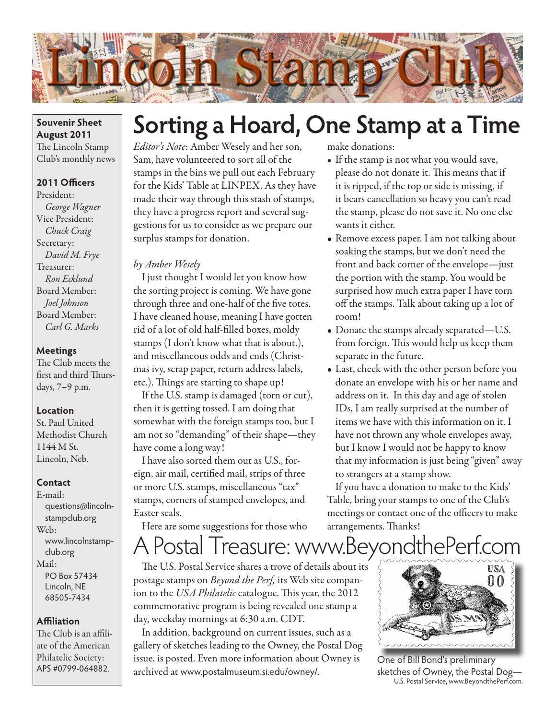

### **Souvenir Sheet August 2011** The Lincoln Stamp Club's monthly news

# **2011 Officers**

President: *George Wagner* Vice President: *Chuck Craig* Secretary: *David M. Frye* Treasurer: *Ron Ecklund* Board Member: *Joel Johnson* Board Member: *Carl G. Marks*

### **Meetings**

The Club meets the first and third Thursdays, 7–9 p.m.

#### **Location**

St. Paul United Methodist Church 1144 M St. Lincoln, Neb.

### **Contact**

E-mail: questions@lincolnstampclub.org Web: www.lincolnstampclub.org Mail: PO Box 57434 Lincoln, NE 68505-7434

### **Affiliation**

The Club is an affiliate of the American Philatelic Society: APS #0799-064882.

# **Sorting a Hoard, One Stamp at a Time**

*Editor's Note*: Amber Wesely and her son, Sam, have volunteered to sort all of the stamps in the bins we pull out each February for the Kids' Table at LINPEX. As they have made their way through this stash of stamps, they have a progress report and several suggestions for us to consider as we prepare our surplus stamps for donation.

### *by Amber Wesely*

I just thought I would let you know how the sorting project is coming. We have gone through three and one-half of the five totes. I have cleaned house, meaning I have gotten rid of a lot of old half-filled boxes, moldy stamps (I don't know what that is about.), and miscellaneous odds and ends (Christmas ivy, scrap paper, return address labels, etc.). Things are starting to shape up!

If the U.S. stamp is damaged (torn or cut), then it is getting tossed. I am doing that somewhat with the foreign stamps too, but I am not so "demanding" of their shape—they have come a long way!

I have also sorted them out as U.S., foreign, air mail, certified mail, strips of three or more U.S. stamps, miscellaneous "tax" stamps, corners of stamped envelopes, and Easter seals.

Here are some suggestions for those who

make donations:

- If the stamp is not what you would save, please do not donate it. This means that if it is ripped, if the top or side is missing, if it bears cancellation so heavy you can't read the stamp, please do not save it. No one else wants it either.
- Remove excess paper. I am not talking about soaking the stamps, but we don't need the front and back corner of the envelope—just the portion with the stamp. You would be surprised how much extra paper I have torn off the stamps. Talk about taking up a lot of room!
- Donate the stamps already separated—U.S. from foreign. This would help us keep them separate in the future.
- Last, check with the other person before you donate an envelope with his or her name and address on it. In this day and age of stolen IDs, I am really surprised at the number of items we have with this information on it. I have not thrown any whole envelopes away, but I know I would not be happy to know that my information is just being "given" away to strangers at a stamp show.

If you have a donation to make to the Kids' Table, bring your stamps to one of the Club's meetings or contact one of the officers to make arrangements. Thanks!

# A Postal Treasure: www.BeyondthePerf.com

The U.S. Postal Service shares a trove of details about its postage stamps on *Beyond the Perf,* its Web site companion to the *USA Philatelic* catalogue. This year, the 2012 commemorative program is being revealed one stamp a day, weekday mornings at 6:30 a.m. CDT.

In addition, background on current issues, such as a gallery of sketches leading to the Owney, the Postal Dog issue, is posted. Even more information about Owney is archived at www.postalmuseum.si.edu/owney/.



One of Bill Bond's preliminary sketches of Owney, the Postal Dog— U.S. Postal Service, www.BeyondthePerf.com.